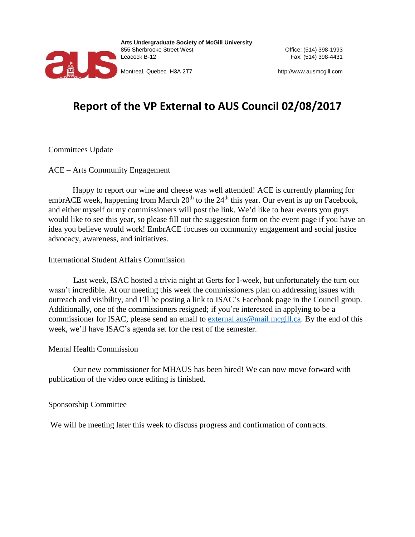

**Arts Undergraduate Society of McGill University**  855 Sherbrooke Street West Office: (514) 398-1993 Leacock B-12 Fax: (514) 398-4431

Montreal, Quebec H3A 2T7 http://www.ausmcgill.com

# **Report of the VP External to AUS Council 02/08/2017**

Committees Update

ACE – Arts Community Engagement

Happy to report our wine and cheese was well attended! ACE is currently planning for embrACE week, happening from March  $20<sup>th</sup>$  to the  $24<sup>th</sup>$  this year. Our event is up on Facebook, and either myself or my commissioners will post the link. We'd like to hear events you guys would like to see this year, so please fill out the suggestion form on the event page if you have an idea you believe would work! EmbrACE focuses on community engagement and social justice advocacy, awareness, and initiatives.

### International Student Affairs Commission

Last week, ISAC hosted a trivia night at Gerts for I-week, but unfortunately the turn out wasn't incredible. At our meeting this week the commissioners plan on addressing issues with outreach and visibility, and I'll be posting a link to ISAC's Facebook page in the Council group. Additionally, one of the commissioners resigned; if you're interested in applying to be a commissioner for ISAC, please send an email to [external.aus@mail.mcgill.ca.](mailto:external.aus@mail.mcgill.ca) By the end of this week, we'll have ISAC's agenda set for the rest of the semester.

### Mental Health Commission

Our new commissioner for MHAUS has been hired! We can now move forward with publication of the video once editing is finished.

### Sponsorship Committee

We will be meeting later this week to discuss progress and confirmation of contracts.